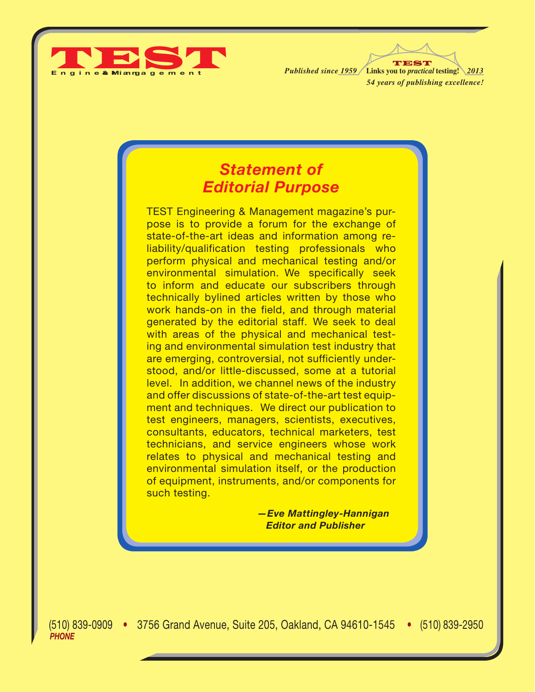

TEST *54 years of publishing excellence! Published since 1959* **Links you to** *practical* **testing!** *2013* TEST

## *Statement of Editorial Purpose*

TEST Engineering & Management magazine's purpose is to provide a forum for the exchange of state-of-the-art ideas and information among reliability/qualification testing professionals who perform physical and mechanical testing and/or environmental simulation. We specifically seek to inform and educate our subscribers through technically bylined articles written by those who work hands-on in the field, and through material generated by the editorial staff. We seek to deal with areas of the physical and mechanical testing and environmental simulation test industry that are emerging, controversial, not sufficiently understood, and/or little-discussed, some at a tutorial level. In addition, we channel news of the industry and offer discussions of state-of-the-art test equipment and techniques. We direct our publication to test engineers, managers, scientists, executives, consultants, educators, technical marketers, test technicians, and service engineers whose work relates to physical and mechanical testing and environmental simulation itself, or the production of equipment, instruments, and/or components for such testing.

> *—Eve Mattingley-Hannigan Editor and Publisher*

(510) 839-0909 • 3756 Grand Avenue, Suite 205, Oakland, CA 94610-1545 • (510) 839-2950 (510) 839-0909 • • (510) 839-2950 *PHONE E-MAIL:* testmag@testmagazine.biz • *WEB:* www.testmagazine.biz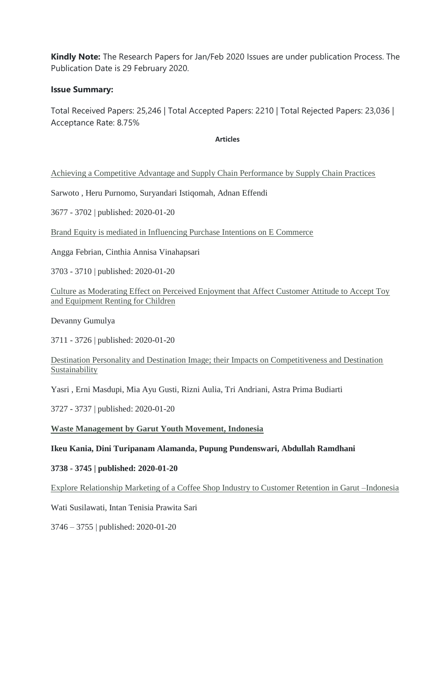**Kindly Note:** The Research Papers for Jan/Feb 2020 Issues are under publication Process. The Publication Date is 29 February 2020.

#### **Issue Summary:**

Total Received Papers: 25,246 | Total Accepted Papers: 2210 | Total Rejected Papers: 23,036 | Acceptance Rate: 8.75%

**Articles**

[Achieving a Competitive Advantage and Supply Chain Performance by Supply Chain Practices](http://www.testmagzine.biz/index.php/testmagzine/article/view/1433)

Sarwoto , Heru Purnomo, Suryandari Istiqomah, Adnan Effendi

3677 - 3702 | published: 2020-01-20

[Brand Equity is mediated in Influencing Purchase Intentions on E Commerce](http://www.testmagzine.biz/index.php/testmagzine/article/view/1434)

Angga Febrian, Cinthia Annisa Vinahapsari

3703 - 3710 | published: 2020-01-20

[Culture as Moderating Effect on Perceived Enjoyment that Affect Customer Attitude to Accept Toy](http://www.testmagzine.biz/index.php/testmagzine/article/view/1435)  [and Equipment Renting for Children](http://www.testmagzine.biz/index.php/testmagzine/article/view/1435)

Devanny Gumulya

3711 - 3726 | published: 2020-01-20

[Destination Personality and Destination Image; their Impacts on Competitiveness and Destination](http://www.testmagzine.biz/index.php/testmagzine/article/view/1436)  **[Sustainability](http://www.testmagzine.biz/index.php/testmagzine/article/view/1436)** 

Yasri , Erni Masdupi, Mia Ayu Gusti, Rizni Aulia, Tri Andriani, Astra Prima Budiarti

3727 - 3737 | published: 2020-01-20

#### **[Waste Management by Garut Youth Movement, Indonesia](http://www.testmagzine.biz/index.php/testmagzine/article/view/1437)**

#### **Ikeu Kania, Dini Turipanam Alamanda, Pupung Pundenswari, Abdullah Ramdhani**

#### **3738 - 3745 | published: 2020-01-20**

[Explore Relationship Marketing of a Coffee Shop Industry to Customer Retention in Garut –Indonesia](http://www.testmagzine.biz/index.php/testmagzine/article/view/1438)

Wati Susilawati, Intan Tenisia Prawita Sari

3746 – 3755 | published: 2020-01-20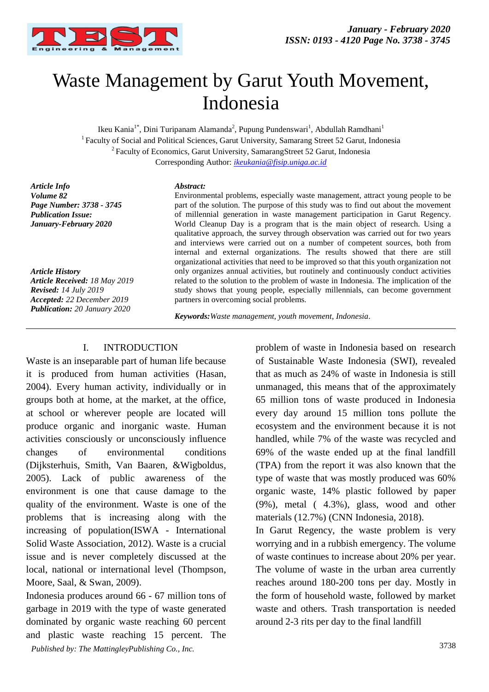

# Waste Management by Garut Youth Movement, Indonesia

Ikeu Kania<sup>1\*</sup>, Dini Turipanam Alamanda<sup>2</sup>, Pupung Pundenswari<sup>1</sup>, Abdullah Ramdhani<sup>1</sup> <sup>1</sup>Faculty of Social and Political Sciences, Garut University, Samarang Street 52 Garut, Indonesia <sup>2</sup>Faculty of Economics, Garut University, SamarangStreet 52 Garut, Indonesia Corresponding Author: *[ikeukania@fisip.uniga.ac.id](mailto:ikeukania@fisip.uniga.ac.id)*

*Article Info Volume 82 Page Number: 3738 - 3745 Publication Issue: January-February 2020*

*Article History Article Received: 18 May 2019 Revised: 14 July 2019 Accepted: 22 December 2019 Publication: 20 January 2020*

#### *Abstract:*

Environmental problems, especially waste management, attract young people to be part of the solution. The purpose of this study was to find out about the movement of millennial generation in waste management participation in Garut Regency. World Cleanup Day is a program that is the main object of research. Using a qualitative approach, the survey through observation was carried out for two years and interviews were carried out on a number of competent sources, both from internal and external organizations. The results showed that there are still organizational activities that need to be improved so that this youth organization not only organizes annual activities, but routinely and continuously conduct activities related to the solution to the problem of waste in Indonesia. The implication of the study shows that young people, especially millennials, can become government partners in overcoming social problems.

*Keywords:Waste management, youth movement, Indonesia.* 

#### I. INTRODUCTION

Waste is an inseparable part of human life because it is produced from human activities (Hasan, 2004). Every human activity, individually or in groups both at home, at the market, at the office, at school or wherever people are located will produce organic and inorganic waste. Human activities consciously or unconsciously influence changes of environmental conditions (Dijksterhuis, Smith, Van Baaren, &Wigboldus, 2005). Lack of public awareness of the environment is one that cause damage to the quality of the environment. Waste is one of the problems that is increasing along with the increasing of population(ISWA - International Solid Waste Association, 2012). Waste is a crucial issue and is never completely discussed at the local, national or international level (Thompson, Moore, Saal, & Swan, 2009).

3738 *Published by: The MattingleyPublishing Co., Inc.* Indonesia produces around 66 - 67 million tons of garbage in 2019 with the type of waste generated dominated by organic waste reaching 60 percent and plastic waste reaching 15 percent. The

problem of waste in Indonesia based on research of Sustainable Waste Indonesia (SWI), revealed that as much as 24% of waste in Indonesia is still unmanaged, this means that of the approximately 65 million tons of waste produced in Indonesia every day around 15 million tons pollute the ecosystem and the environment because it is not handled, while 7% of the waste was recycled and 69% of the waste ended up at the final landfill (TPA) from the report it was also known that the type of waste that was mostly produced was 60% organic waste, 14% plastic followed by paper (9%), metal ( 4.3%), glass, wood and other materials (12.7%) (CNN Indonesia, 2018).

In Garut Regency, the waste problem is very worrying and in a rubbish emergency. The volume of waste continues to increase about 20% per year. The volume of waste in the urban area currently reaches around 180-200 tons per day. Mostly in the form of household waste, followed by market waste and others. Trash transportation is needed around 2-3 rits per day to the final landfill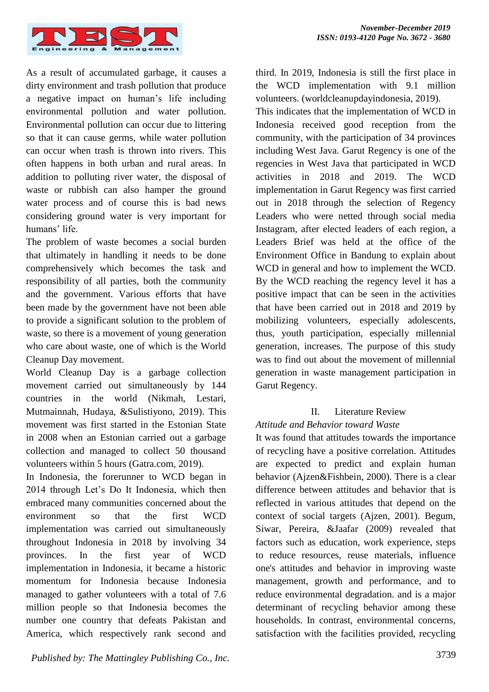

As a result of accumulated garbage, it causes a dirty environment and trash pollution that produce a negative impact on human's life including environmental pollution and water pollution. Environmental pollution can occur due to littering so that it can cause germs, while water pollution can occur when trash is thrown into rivers. This often happens in both urban and rural areas. In addition to polluting river water, the disposal of waste or rubbish can also hamper the ground water process and of course this is bad news considering ground water is very important for humans' life.

The problem of waste becomes a social burden that ultimately in handling it needs to be done comprehensively which becomes the task and responsibility of all parties, both the community and the government. Various efforts that have been made by the government have not been able to provide a significant solution to the problem of waste, so there is a movement of young generation who care about waste, one of which is the World Cleanup Day movement.

World Cleanup Day is a garbage collection movement carried out simultaneously by 144 countries in the world (Nikmah, Lestari, Mutmainnah, Hudaya, &Sulistiyono, 2019). This movement was first started in the Estonian State in 2008 when an Estonian carried out a garbage collection and managed to collect 50 thousand volunteers within 5 hours (Gatra.com, 2019).

In Indonesia, the forerunner to WCD began in 2014 through Let's Do It Indonesia, which then embraced many communities concerned about the environment so that the first WCD implementation was carried out simultaneously throughout Indonesia in 2018 by involving 34 provinces. In the first year of WCD implementation in Indonesia, it became a historic momentum for Indonesia because Indonesia managed to gather volunteers with a total of 7.6 million people so that Indonesia becomes the number one country that defeats Pakistan and America, which respectively rank second and third. In 2019, Indonesia is still the first place in the WCD implementation with 9.1 million volunteers. (worldcleanupdayindonesia, 2019). This indicates that the implementation of WCD in Indonesia received good reception from the community, with the participation of 34 provinces including West Java. Garut Regency is one of the regencies in West Java that participated in WCD activities in 2018 and 2019. The WCD implementation in Garut Regency was first carried out in 2018 through the selection of Regency Leaders who were netted through social media Instagram, after elected leaders of each region, a Leaders Brief was held at the office of the Environment Office in Bandung to explain about WCD in general and how to implement the WCD. By the WCD reaching the regency level it has a positive impact that can be seen in the activities that have been carried out in 2018 and 2019 by mobilizing volunteers, especially adolescents, thus, youth participation, especially millennial generation, increases. The purpose of this study was to find out about the movement of millennial generation in waste management participation in Garut Regency.

### II. Literature Review

#### *Attitude and Behavior toward Waste*

It was found that attitudes towards the importance of recycling have a positive correlation. Attitudes are expected to predict and explain human behavior (Ajzen&Fishbein, 2000). There is a clear difference between attitudes and behavior that is reflected in various attitudes that depend on the context of social targets (Ajzen, 2001). Begum, Siwar, Pereira, &Jaafar (2009) revealed that factors such as education, work experience, steps to reduce resources, reuse materials, influence one's attitudes and behavior in improving waste management, growth and performance, and to reduce environmental degradation. and is a major determinant of recycling behavior among these households. In contrast, environmental concerns, satisfaction with the facilities provided, recycling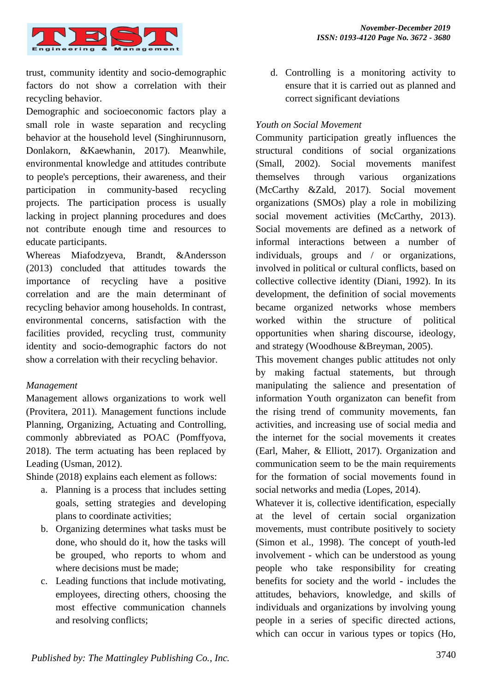

trust, community identity and socio-demographic factors do not show a correlation with their recycling behavior.

Demographic and socioeconomic factors play a small role in waste separation and recycling behavior at the household level (Singhirunnusorn, Donlakorn, &Kaewhanin, 2017). Meanwhile, environmental knowledge and attitudes contribute to people's perceptions, their awareness, and their participation in community-based recycling projects. The participation process is usually lacking in project planning procedures and does not contribute enough time and resources to educate participants.

Whereas Miafodzyeva, Brandt, &Andersson (2013) concluded that attitudes towards the importance of recycling have a positive correlation and are the main determinant of recycling behavior among households. In contrast, environmental concerns, satisfaction with the facilities provided, recycling trust, community identity and socio-demographic factors do not show a correlation with their recycling behavior.

#### *Management*

Management allows organizations to work well (Provitera, 2011). Management functions include Planning, Organizing, Actuating and Controlling, commonly abbreviated as POAC (Pomffyova, 2018). The term actuating has been replaced by Leading (Usman, 2012).

Shinde (2018) explains each element as follows:

- a. Planning is a process that includes setting goals, setting strategies and developing plans to coordinate activities;
- b. Organizing determines what tasks must be done, who should do it, how the tasks will be grouped, who reports to whom and where decisions must be made;
- c. Leading functions that include motivating, employees, directing others, choosing the most effective communication channels and resolving conflicts;

d. Controlling is a monitoring activity to ensure that it is carried out as planned and correct significant deviations

#### *Youth on Social Movement*

Community participation greatly influences the structural conditions of social organizations (Small, 2002). Social movements manifest themselves through various organizations (McCarthy &Zald, 2017). Social movement organizations (SMOs) play a role in mobilizing social movement activities (McCarthy, 2013). Social movements are defined as a network of informal interactions between a number of individuals, groups and / or organizations, involved in political or cultural conflicts, based on collective collective identity (Diani, 1992). In its development, the definition of social movements became organized networks whose members worked within the structure of political opportunities when sharing discourse, ideology, and strategy (Woodhouse &Breyman, 2005).

This movement changes public attitudes not only by making factual statements, but through manipulating the salience and presentation of information Youth organizaton can benefit from the rising trend of community movements, fan activities, and increasing use of social media and the internet for the social movements it creates (Earl, Maher, & Elliott, 2017). Organization and communication seem to be the main requirements for the formation of social movements found in social networks and media (Lopes, 2014).

Whatever it is, collective identification, especially at the level of certain social organization movements, must contribute positively to society (Simon et al., 1998). The concept of youth-led involvement - which can be understood as young people who take responsibility for creating benefits for society and the world - includes the attitudes, behaviors, knowledge, and skills of individuals and organizations by involving young people in a series of specific directed actions, which can occur in various types or topics (Ho,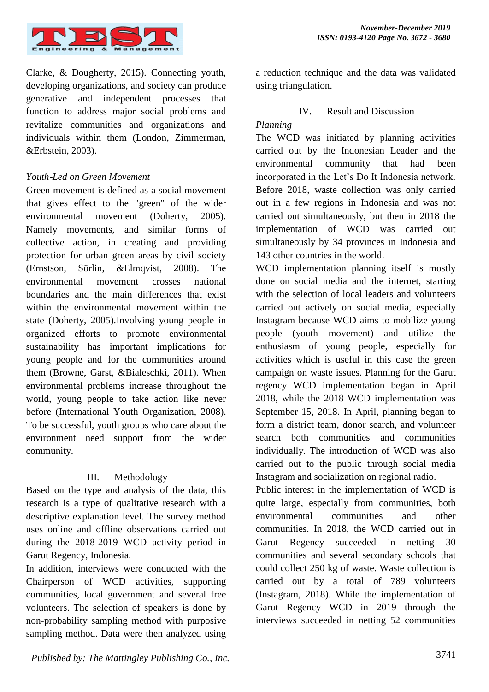

Clarke, & Dougherty, 2015). Connecting youth, developing organizations, and society can produce generative and independent processes that function to address major social problems and revitalize communities and organizations and individuals within them (London, Zimmerman, &Erbstein, 2003).

#### *Youth*‐*Led on Green Movement*

Green movement is defined as a social movement that gives effect to the "green" of the wider environmental movement (Doherty, 2005). Namely movements, and similar forms of collective action, in creating and providing protection for urban green areas by civil society (Ernstson, Sörlin, &Elmqvist, 2008). The environmental movement crosses national boundaries and the main differences that exist within the environmental movement within the state (Doherty, 2005).Involving young people in organized efforts to promote environmental sustainability has important implications for young people and for the communities around them (Browne, Garst, &Bialeschki, 2011). When environmental problems increase throughout the world, young people to take action like never before (International Youth Organization, 2008). To be successful, youth groups who care about the environment need support from the wider community.

#### III. Methodology

Based on the type and analysis of the data, this research is a type of qualitative research with a descriptive explanation level. The survey method uses online and offline observations carried out during the 2018-2019 WCD activity period in Garut Regency, Indonesia.

In addition, interviews were conducted with the Chairperson of WCD activities, supporting communities, local government and several free volunteers. The selection of speakers is done by non-probability sampling method with purposive sampling method. Data were then analyzed using a reduction technique and the data was validated using triangulation.

#### IV. Result and Discussion

#### *Planning*

The WCD was initiated by planning activities carried out by the Indonesian Leader and the environmental community that had been incorporated in the Let's Do It Indonesia network. Before 2018, waste collection was only carried out in a few regions in Indonesia and was not carried out simultaneously, but then in 2018 the implementation of WCD was carried out simultaneously by 34 provinces in Indonesia and 143 other countries in the world.

WCD implementation planning itself is mostly done on social media and the internet, starting with the selection of local leaders and volunteers carried out actively on social media, especially Instagram because WCD aims to mobilize young people (youth movement) and utilize the enthusiasm of young people, especially for activities which is useful in this case the green campaign on waste issues. Planning for the Garut regency WCD implementation began in April 2018, while the 2018 WCD implementation was September 15, 2018. In April, planning began to form a district team, donor search, and volunteer search both communities and communities individually. The introduction of WCD was also carried out to the public through social media Instagram and socialization on regional radio.

Public interest in the implementation of WCD is quite large, especially from communities, both environmental communities and other communities. In 2018, the WCD carried out in Garut Regency succeeded in netting 30 communities and several secondary schools that could collect 250 kg of waste. Waste collection is carried out by a total of 789 volunteers (Instagram, 2018). While the implementation of Garut Regency WCD in 2019 through the interviews succeeded in netting 52 communities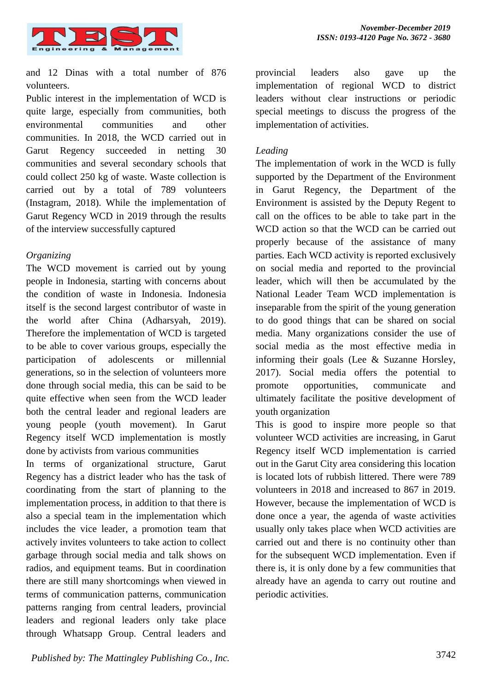

and 12 Dinas with a total number of 876 volunteers.

Public interest in the implementation of WCD is quite large, especially from communities, both environmental communities and other communities. In 2018, the WCD carried out in Garut Regency succeeded in netting 30 communities and several secondary schools that could collect 250 kg of waste. Waste collection is carried out by a total of 789 volunteers (Instagram, 2018). While the implementation of Garut Regency WCD in 2019 through the results of the interview successfully captured

#### *Organizing*

The WCD movement is carried out by young people in Indonesia, starting with concerns about the condition of waste in Indonesia. Indonesia itself is the second largest contributor of waste in the world after China (Adharsyah, 2019). Therefore the implementation of WCD is targeted to be able to cover various groups, especially the participation of adolescents or millennial generations, so in the selection of volunteers more done through social media, this can be said to be quite effective when seen from the WCD leader both the central leader and regional leaders are young people (youth movement). In Garut Regency itself WCD implementation is mostly done by activists from various communities

In terms of organizational structure, Garut Regency has a district leader who has the task of coordinating from the start of planning to the implementation process, in addition to that there is also a special team in the implementation which includes the vice leader, a promotion team that actively invites volunteers to take action to collect garbage through social media and talk shows on radios, and equipment teams. But in coordination there are still many shortcomings when viewed in terms of communication patterns, communication patterns ranging from central leaders, provincial leaders and regional leaders only take place through Whatsapp Group. Central leaders and provincial leaders also gave up the implementation of regional WCD to district leaders without clear instructions or periodic special meetings to discuss the progress of the implementation of activities.

#### *Leading*

The implementation of work in the WCD is fully supported by the Department of the Environment in Garut Regency, the Department of the Environment is assisted by the Deputy Regent to call on the offices to be able to take part in the WCD action so that the WCD can be carried out properly because of the assistance of many parties. Each WCD activity is reported exclusively on social media and reported to the provincial leader, which will then be accumulated by the National Leader Team WCD implementation is inseparable from the spirit of the young generation to do good things that can be shared on social media. Many organizations consider the use of social media as the most effective media in informing their goals (Lee & Suzanne Horsley, 2017). Social media offers the potential to promote opportunities, communicate and ultimately facilitate the positive development of youth organization

This is good to inspire more people so that volunteer WCD activities are increasing, in Garut Regency itself WCD implementation is carried out in the Garut City area considering this location is located lots of rubbish littered. There were 789 volunteers in 2018 and increased to 867 in 2019. However, because the implementation of WCD is done once a year, the agenda of waste activities usually only takes place when WCD activities are carried out and there is no continuity other than for the subsequent WCD implementation. Even if there is, it is only done by a few communities that already have an agenda to carry out routine and periodic activities.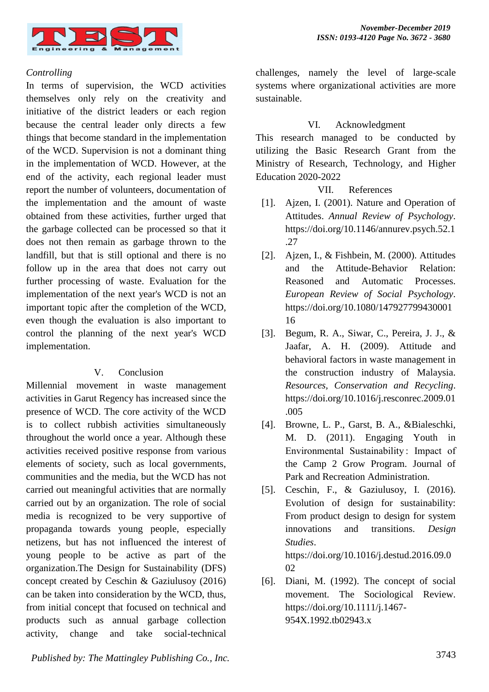

#### *Controlling*

In terms of supervision, the WCD activities themselves only rely on the creativity and initiative of the district leaders or each region because the central leader only directs a few things that become standard in the implementation of the WCD. Supervision is not a dominant thing in the implementation of WCD. However, at the end of the activity, each regional leader must report the number of volunteers, documentation of the implementation and the amount of waste obtained from these activities, further urged that the garbage collected can be processed so that it does not then remain as garbage thrown to the landfill, but that is still optional and there is no follow up in the area that does not carry out further processing of waste. Evaluation for the implementation of the next year's WCD is not an important topic after the completion of the WCD, even though the evaluation is also important to control the planning of the next year's WCD implementation.

#### V. Conclusion

Millennial movement in waste management activities in Garut Regency has increased since the presence of WCD. The core activity of the WCD is to collect rubbish activities simultaneously throughout the world once a year. Although these activities received positive response from various elements of society, such as local governments, communities and the media, but the WCD has not carried out meaningful activities that are normally carried out by an organization. The role of social media is recognized to be very supportive of propaganda towards young people, especially netizens, but has not influenced the interest of young people to be active as part of the organization.The Design for Sustainability (DFS) concept created by Ceschin & Gaziulusoy (2016) can be taken into consideration by the WCD, thus, from initial concept that focused on technical and products such as annual garbage collection activity, change and take social-technical challenges, namely the level of large-scale systems where organizational activities are more sustainable.

#### VI. Acknowledgment

This research managed to be conducted by utilizing the Basic Research Grant from the Ministry of Research, Technology, and Higher Education 2020-2022

#### VII. References

- [1]. Ajzen, I. (2001). Nature and Operation of Attitudes. *Annual Review of Psychology*. https://doi.org/10.1146/annurev.psych.52.1 .27
- [2]. Ajzen, I., & Fishbein, M. (2000). Attitudes and the Attitude-Behavior Relation: Reasoned and Automatic Processes. *European Review of Social Psychology*. https://doi.org/10.1080/147927799430001 16
- [3]. Begum, R. A., Siwar, C., Pereira, J. J., & Jaafar, A. H. (2009). Attitude and behavioral factors in waste management in the construction industry of Malaysia. *Resources, Conservation and Recycling*. https://doi.org/10.1016/j.resconrec.2009.01 .005
- [4]. Browne, L. P., Garst, B. A., &Bialeschki, M. D. (2011). Engaging Youth in Environmental Sustainability : Impact of the Camp 2 Grow Program. Journal of Park and Recreation Administration.
- [5]. Ceschin, F., & Gaziulusoy, I. (2016). Evolution of design for sustainability: From product design to design for system innovations and transitions. *Design Studies*. https://doi.org/10.1016/j.destud.2016.09.0 02
- [6]. Diani, M. (1992). The concept of social movement. The Sociological Review. https://doi.org/10.1111/j.1467- 954X.1992.tb02943.x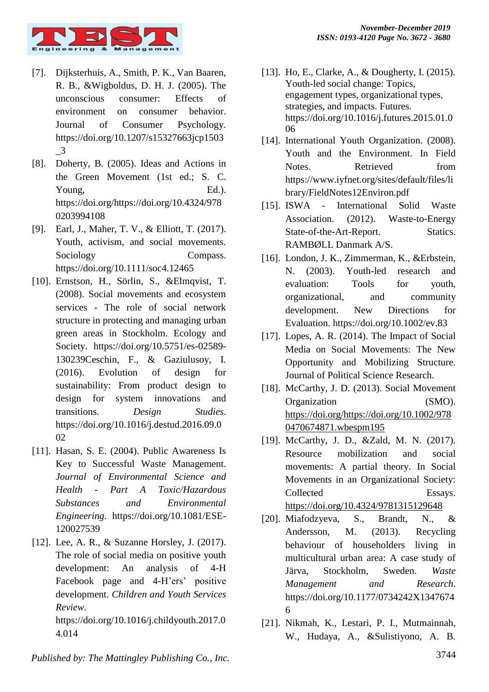

- [7]. Dijksterhuis, A., Smith, P. K., Van Baaren, R. B., &Wigboldus, D. H. J. (2005). The unconscious consumer: Effects of environment on consumer behavior. Journal of Consumer Psychology. https://doi.org/10.1207/s15327663jcp1503 \_3
- [8]. Doherty, B. (2005). Ideas and Actions in the Green Movement (1st ed.; S. C. Young, Ed.). https://doi.org/https://doi.org/10.4324/978 0203994108
- [9]. Earl, J., Maher, T. V., & Elliott, T. (2017). Youth, activism, and social movements. Sociology Compass. https://doi.org/10.1111/soc4.12465
- [10]. Ernstson, H., Sörlin, S., &Elmqvist, T. (2008). Social movements and ecosystem services - The role of social network structure in protecting and managing urban green areas in Stockholm. Ecology and Society. https://doi.org/10.5751/es-02589- 130239Ceschin, F., & Gaziulusoy, I. (2016). Evolution of design for sustainability: From product design to design for system innovations and transitions. *Design Studies*. https://doi.org/10.1016/j.destud.2016.09.0 02
- [11]. Hasan, S. E. (2004). Public Awareness Is Key to Successful Waste Management. *Journal of Environmental Science and Health - Part A Toxic/Hazardous Substances and Environmental Engineering*. https://doi.org/10.1081/ESE-120027539
- [12]. Lee, A. R., & Suzanne Horsley, J. (2017). The role of social media on positive youth development: An analysis of 4-H Facebook page and 4-H'ers' positive development. *Children and Youth Services Review*.

https://doi.org/10.1016/j.childyouth.2017.0 4.014

- [13]. Ho, E., Clarke, A., & Dougherty, I. (2015). Youth-led social change: Topics, engagement types, organizational types, strategies, and impacts. Futures. https://doi.org/10.1016/j.futures.2015.01.0 06
- [14]. International Youth Organization. (2008). Youth and the Environment. In Field Notes. Retrieved from https://www.iyfnet.org/sites/default/files/li brary/FieldNotes12Environ.pdf
- [15]. ISWA International Solid Waste Association. (2012). Waste-to-Energy State-of-the-Art-Report. Statics. RAMBØLL Danmark A/S.
- [16]. London, J. K., Zimmerman, K., &Erbstein, N. (2003). Youth-led research and evaluation: Tools for youth, organizational, and community development. New Directions for Evaluation. https://doi.org/10.1002/ev.83
- [17]. Lopes, A. R. (2014). The Impact of Social Media on Social Movements: The New Opportunity and Mobilizing Structure. Journal of Political Science Research.
- [18]. McCarthy, J. D. (2013). Social Movement Organization (SMO). [https://doi.org/https://doi.org/10.1002/978](https://doi.org/https:/doi.org/10.1002/9780470674871.wbespm195) [0470674871.wbespm195](https://doi.org/https:/doi.org/10.1002/9780470674871.wbespm195)
- [19]. McCarthy, J. D., &Zald, M. N. (2017). Resource mobilization and social movements: A partial theory. In Social Movements in an Organizational Society: Collected Essays. <https://doi.org/10.4324/9781315129648>
- [20]. Miafodzyeva, S., Brandt, N., & Andersson, M. (2013). Recycling behaviour of householders living in multicultural urban area: A case study of Järva, Stockholm, Sweden. *Waste Management and Research*. https://doi.org/10.1177/0734242X1347674 6
- [21]. Nikmah, K., Lestari, P. I., Mutmainnah, W., Hudaya, A., &Sulistiyono, A. B.

3744 *Published by: The Mattingley Publishing Co., Inc.*